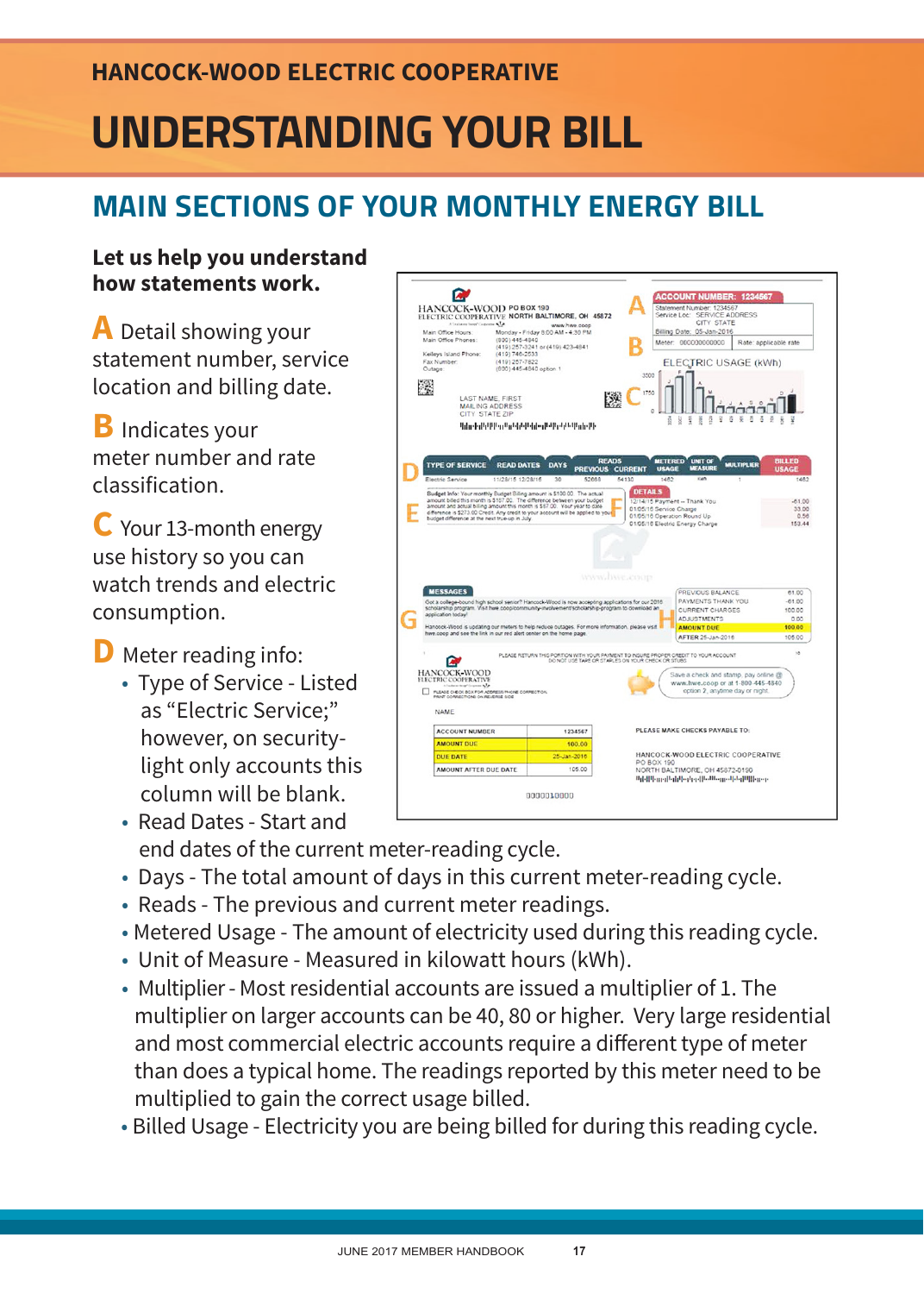## **HANCOCK-WOOD ELECTRIC COOPERATIVE**

# **UNDERSTANDING YOUR BILL**

# **MAIN SECTIONS OF YOUR MONTHLY ENERGY BILL**

#### **Let us help you understand how statements work.**

**A** Detail showing your statement number, service location and billing date.

**B** Indicates your meter number and rate classification.

**C** Your 13-month energy use history so you can watch trends and electric consumption.

**D** Meter reading info:

 • Type of Service - Listed as "Electric Service;" however, on security light only accounts this column will be blank.

 • Read Dates - Start and end dates of the current meter-reading cycle.

- Days The total amount of days in this current meter-reading cycle.
- Reads The previous and current meter readings.
- Metered Usage The amount of electricity used during this reading cycle.
- Unit of Measure Measured in kilowatt hours (kWh).
- Multiplier Most residential accounts are issued a multiplier of 1. The multiplier on larger accounts can be 40, 80 or higher. Very large residential and most commercial electric accounts require a different type of meter than does a typical home. The readings reported by this meter need to be multiplied to gain the correct usage billed.
- Billed Usage Electricity you are being billed for during this reading cycle.